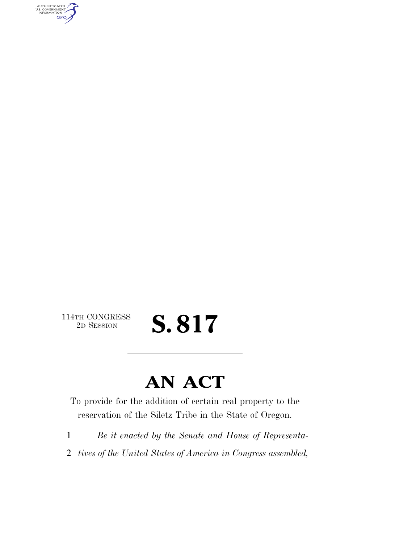AUTHENTICATED<br>U.S. GOVERNMENT<br>INFORMATION **GPO** 

 $\begin{array}{c} \textbf{114TH CONGRESS} \\ \textbf{2D} \textbf{Session} \end{array}$ 

## S. 817

### **AN ACT**

To provide for the addition of certain real property to the reservation of the Siletz Tribe in the State of Oregon.

- 1 *Be it enacted by the Senate and House of Representa-*
- 2 *tives of the United States of America in Congress assembled,*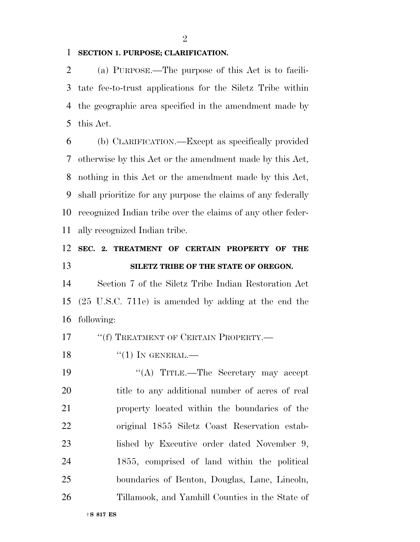#### **SECTION 1. PURPOSE; CLARIFICATION.**

 (a) PURPOSE.—The purpose of this Act is to facili- tate fee-to-trust applications for the Siletz Tribe within the geographic area specified in the amendment made by this Act.

 (b) CLARIFICATION.—Except as specifically provided otherwise by this Act or the amendment made by this Act, nothing in this Act or the amendment made by this Act, shall prioritize for any purpose the claims of any federally recognized Indian tribe over the claims of any other feder-ally recognized Indian tribe.

### **SEC. 2. TREATMENT OF CERTAIN PROPERTY OF THE SILETZ TRIBE OF THE STATE OF OREGON.**

 Section 7 of the Siletz Tribe Indian Restoration Act (25 U.S.C. 711e) is amended by adding at the end the following:

17 <sup>"</sup>(f) TREATMENT OF CERTAIN PROPERTY.—

"(1) In GENERAL.—

 ''(A) TITLE.—The Secretary may accept title to any additional number of acres of real property located within the boundaries of the original 1855 Siletz Coast Reservation estab- lished by Executive order dated November 9, 1855, comprised of land within the political boundaries of Benton, Douglas, Lane, Lincoln, Tillamook, and Yamhill Counties in the State of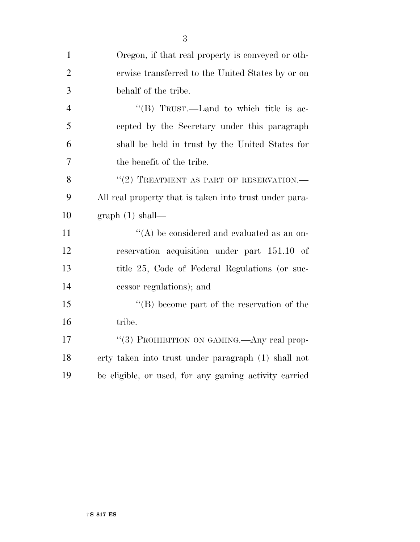| $\mathbf{1}$   | Oregon, if that real property is conveyed or oth-      |
|----------------|--------------------------------------------------------|
| $\overline{2}$ | erwise transferred to the United States by or on       |
| 3              | behalf of the tribe.                                   |
| $\overline{4}$ | "(B) TRUST.—Land to which title is ac-                 |
| 5              | cepted by the Secretary under this paragraph           |
| 6              | shall be held in trust by the United States for        |
| 7              | the benefit of the tribe.                              |
| 8              | "(2) TREATMENT AS PART OF RESERVATION.                 |
| 9              | All real property that is taken into trust under para- |
| 10             | graph(1) shall—                                        |
| 11             | "(A) be considered and evaluated as an on-             |
| 12             | reservation acquisition under part 151.10 of           |
| 13             | title 25, Code of Federal Regulations (or suc-         |
| 14             | cessor regulations); and                               |
| 15             | $\lq\lq (B)$ become part of the reservation of the     |
| 16             | tribe.                                                 |
| 17             | "(3) PROHIBITION ON GAMING. Any real prop-             |
| 18             | erty taken into trust under paragraph (1) shall not    |
| 19             | be eligible, or used, for any gaming activity carried  |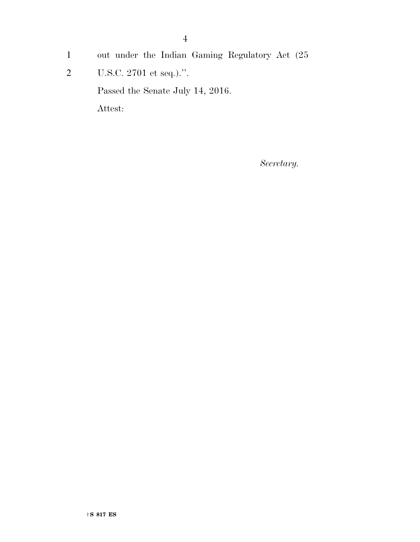- out under the Indian Gaming Regulatory Act (25  $\mathbf{1}$
- $\overline{2}$ U.S.C. 2701 et seq.).".

Passed the Senate July 14, 2016.

Attest:

 $\label{eq:1} Secretary.$